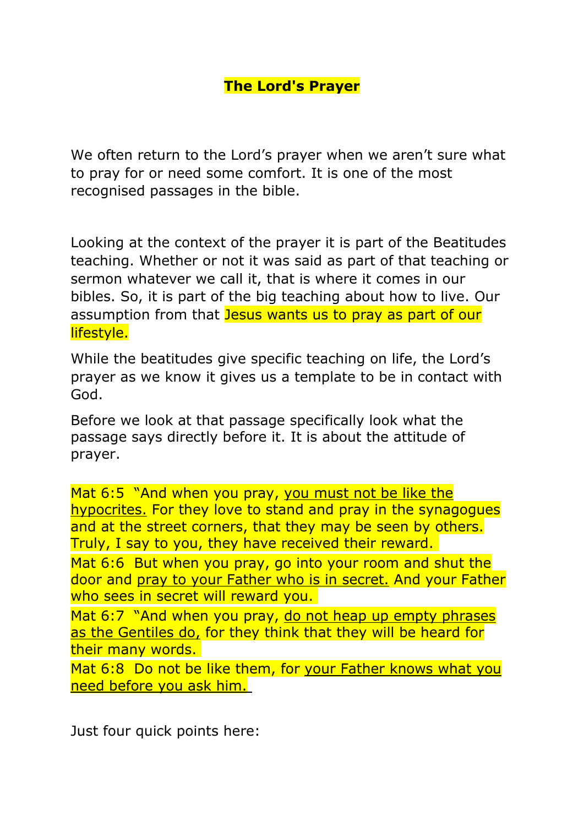We often return to the Lord's prayer when we aren't sure what to pray for or need some comfort. It is one of the most recognised passages in the bible.

Looking at the context of the prayer it is part of the Beatitudes teaching. Whether or not it was said as part of that teaching or sermon whatever we call it, that is where it comes in our bibles. So, it is part of the big teaching about how to live. Our assumption from that Jesus wants us to pray as part of our lifestyle.

While the beatitudes give specific teaching on life, the Lord's prayer as we know it gives us a template to be in contact with God.

Before we look at that passage specifically look what the passage says directly before it. It is about the attitude of prayer.

Mat 6:5 "And when you pray, you must not be like the hypocrites. For they love to stand and pray in the synagogues and at the street corners, that they may be seen by others. Truly, I say to you, they have received their reward.

Mat 6:6 But when you pray, go into your room and shut the door and pray to your Father who is in secret. And your Father who sees in secret will reward you.

Mat 6:7 "And when you pray, do not heap up empty phrases as the Gentiles do, for they think that they will be heard for their many words.

Mat 6:8 Do not be like them, for your Father knows what you need before you ask him.

Just four quick points here: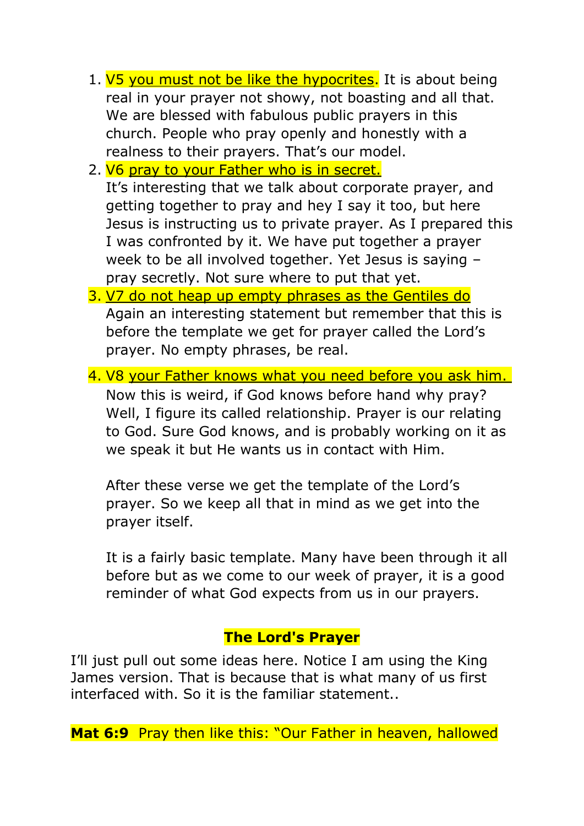- 1. V5 you must not be like the hypocrites. It is about being real in your prayer not showy, not boasting and all that. We are blessed with fabulous public prayers in this church. People who pray openly and honestly with a realness to their prayers. That's our model.
- 2. V6 pray to your Father who is in secret.

It's interesting that we talk about corporate prayer, and getting together to pray and hey I say it too, but here Jesus is instructing us to private prayer. As I prepared this I was confronted by it. We have put together a prayer week to be all involved together. Yet Jesus is saying – pray secretly. Not sure where to put that yet.

- 3. V7 do not heap up empty phrases as the Gentiles do Again an interesting statement but remember that this is before the template we get for prayer called the Lord's prayer. No empty phrases, be real.
- 4. V8 your Father knows what you need before you ask him. Now this is weird, if God knows before hand why pray? Well, I figure its called relationship. Prayer is our relating to God. Sure God knows, and is probably working on it as we speak it but He wants us in contact with Him.

After these verse we get the template of the Lord's prayer. So we keep all that in mind as we get into the prayer itself.

It is a fairly basic template. Many have been through it all before but as we come to our week of prayer, it is a good reminder of what God expects from us in our prayers.

# **The Lord's Prayer**

I'll just pull out some ideas here. Notice I am using the King James version. That is because that is what many of us first interfaced with. So it is the familiar statement..

**Mat 6:9** Pray then like this: "Our Father in heaven, hallowed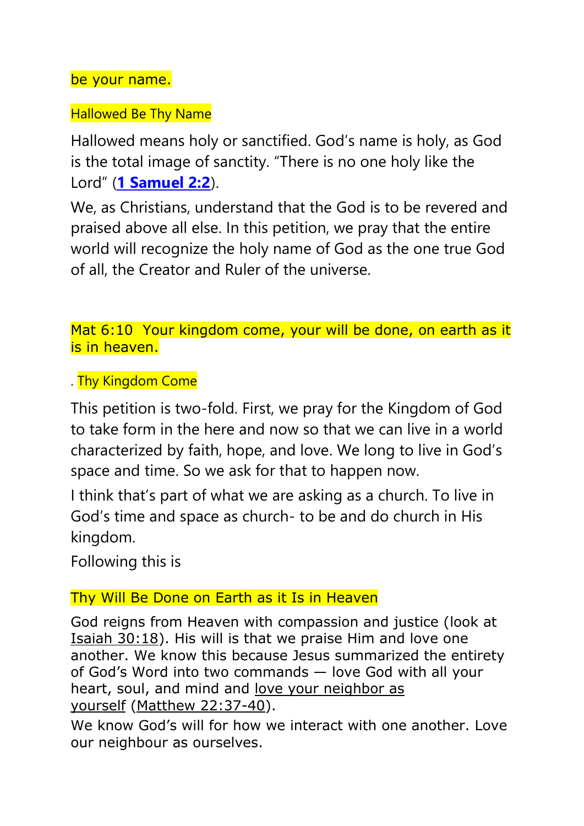be your name.

### Hallowed Be Thy Name

Hallowed means holy or sanctified. God's name is holy, as God is the total image of sanctity. "There is no one holy like the Lord" (**[1 Samuel 2:2](http://www.christianity.com/bible/search/?ver=niv&q=1+samuel+2:2)**).

We, as Christians, understand that the God is to be revered and praised above all else. In this petition, we pray that the entire world will recognize the holy name of God as the one true God of all, the Creator and Ruler of the universe.

Mat 6:10 Your kingdom come, your will be done, on earth as it is in heaven.

. Thy Kingdom Come

This petition is two-fold. First, we pray for the Kingdom of God to take form in the here and now so that we can live in a world characterized by faith, hope, and love. We long to live in God's space and time. So we ask for that to happen now.

I think that's part of what we are asking as a church. To live in God's time and space as church- to be and do church in His kingdom.

Following this is

# Thy Will Be Done on Earth as it Is in Heaven

God reigns from Heaven with compassion and justice (look at [Isaiah 30:18\)](http://www.christianity.com/bible/search/?ver=niv&q=isaiah+30:18). His will is that we praise Him and love one another. We know this because Jesus summarized the entirety of God's Word into two commands — love God with all your heart, soul, and mind and [love your neighbor as](https://www.christianity.com/wiki/bible/love-your-neighbor-as-yourself-bible-meaning-of-mark-12-31.html)  [yourself](https://www.christianity.com/wiki/bible/love-your-neighbor-as-yourself-bible-meaning-of-mark-12-31.html) [\(Matthew 22:37-40\)](http://www.christianity.com/bible/search/?ver=niv&q=matthew+22%3a37-40).

We know God's will for how we interact with one another. Love our neighbour as ourselves.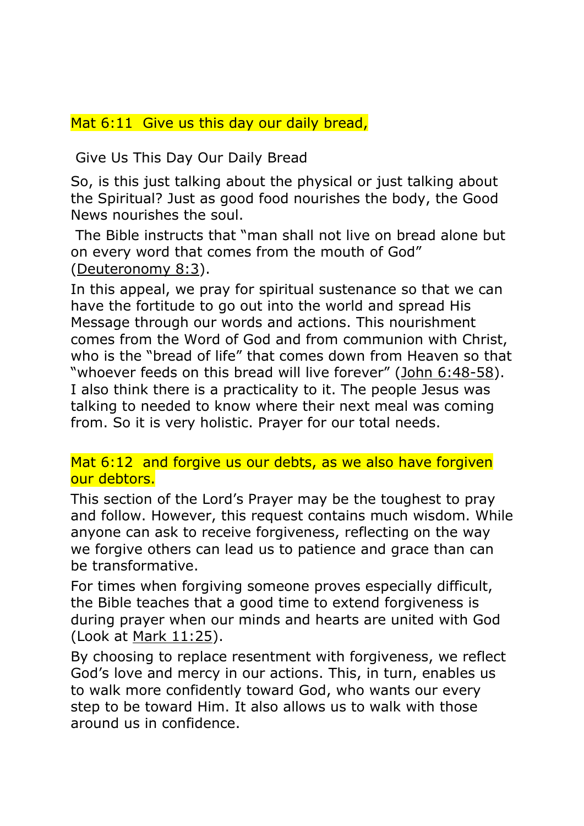## Mat 6:11 Give us this day our daily bread,

Give Us This Day Our Daily Bread

So, is this just talking about the physical or just talking about the Spiritual? Just as good food nourishes the body, the Good News nourishes the soul.

The Bible instructs that "man shall not live on bread alone but on every word that comes from the mouth of God" [\(Deuteronomy 8:3\)](http://www.christianity.com/bible/search/?ver=niv&q=deuteronomy+8:3).

In this appeal, we pray for spiritual sustenance so that we can have the fortitude to go out into the world and spread His Message through our words and actions. This nourishment comes from the Word of God and from communion with Christ, who is the "bread of life" that comes down from Heaven so that "whoever feeds on this bread will live forever" ([John 6:48-58\)](http://www.christianity.com/bible/search/?ver=niv&q=john+6%3a48-58). I also think there is a practicality to it. The people Jesus was talking to needed to know where their next meal was coming from. So it is very holistic. Prayer for our total needs.

Mat 6:12 and forgive us our debts, as we also have forgiven our debtors.

This section of the Lord's Prayer may be the toughest to pray and follow. However, this request contains much wisdom. While anyone can ask to receive forgiveness, reflecting on the way we forgive others can lead us to patience and grace than can be transformative.

For times when forgiving someone proves especially difficult, the Bible teaches that a good time to extend forgiveness is during prayer when our minds and hearts are united with God (Look at [Mark 11:25\)](http://www.christianity.com/bible/search/?ver=niv&q=mark+11:25).

By choosing to replace resentment with forgiveness, we reflect God's love and mercy in our actions. This, in turn, enables us to walk more confidently toward God, who wants our every step to be toward Him. It also allows us to walk with those around us in confidence.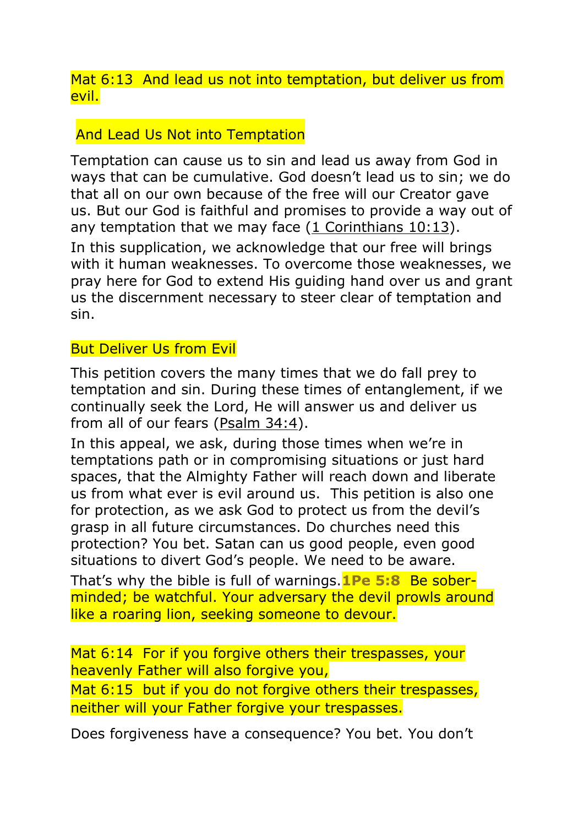Mat 6:13 And lead us not into temptation, but deliver us from evil.

### And Lead Us Not into Temptation

Temptation can cause us to sin and lead us away from God in ways that can be cumulative. God doesn't lead us to sin; we do that all on our own because of the free will our Creator gave us. But our God is faithful and promises to provide a way out of any temptation that we may face  $(1$  Corinthians  $10:13$ ). In this supplication, we acknowledge that our free will brings with it human weaknesses. To overcome those weaknesses, we pray here for God to extend His guiding hand over us and grant us the discernment necessary to steer clear of temptation and sin.

### But Deliver Us from Evil

This petition covers the many times that we do fall prey to temptation and sin. During these times of entanglement, if we continually seek the Lord, He will answer us and deliver us from all of our fears [\(Psalm 34:4\)](http://www.christianity.com/bible/search/?ver=niv&q=psalms+34:4).

In this appeal, we ask, during those times when we're in temptations path or in compromising situations or just hard spaces, that the Almighty Father will reach down and liberate us from what ever is evil around us. This petition is also one for protection, as we ask God to protect us from the devil's grasp in all future circumstances. Do churches need this protection? You bet. Satan can us good people, even good situations to divert God's people. We need to be aware.

That's why the bible is full of warnings.**1Pe 5:8** Be soberminded; be watchful. Your adversary the devil prowls around like a roaring lion, seeking someone to devour.

Mat 6:14 For if you forgive others their trespasses, your heavenly Father will also forgive you,

Mat 6:15 but if you do not forgive others their trespasses, neither will your Father forgive your trespasses.

Does forgiveness have a consequence? You bet. You don't